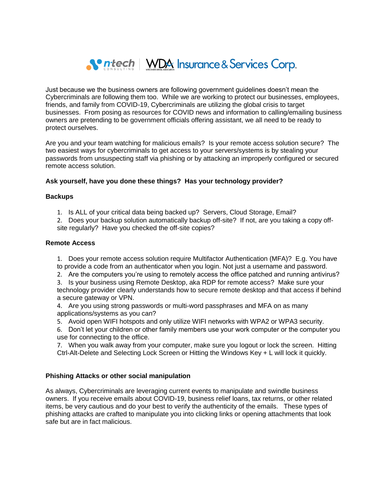

Just because we the business owners are following government guidelines doesn't mean the Cybercriminals are following them too. While we are working to protect our businesses, employees, friends, and family from COVID-19, Cybercriminals are utilizing the global crisis to target businesses. From posing as resources for COVID news and information to calling/emailing business owners are pretending to be government officials offering assistant, we all need to be ready to protect ourselves.

Are you and your team watching for malicious emails? Is your remote access solution secure? The two easiest ways for cybercriminals to get access to your servers/systems is by stealing your passwords from unsuspecting staff via phishing or by attacking an improperly configured or secured remote access solution.

## **Ask yourself, have you done these things? Has your technology provider?**

## **Backups**

1. Is ALL of your critical data being backed up? Servers, Cloud Storage, Email?

2. Does your backup solution automatically backup off-site? If not, are you taking a copy offsite regularly? Have you checked the off-site copies?

## **Remote Access**

1. Does your remote access solution require Multifactor Authentication (MFA)? E.g. You have to provide a code from an authenticator when you login. Not just a username and password.

2. Are the computers you're using to remotely access the office patched and running antivirus?

3. Is your business using Remote Desktop, aka RDP for remote access? Make sure your technology provider clearly understands how to secure remote desktop and that access if behind a secure gateway or VPN.

4. Are you using strong passwords or multi-word passphrases and MFA on as many applications/systems as you can?

5. Avoid open WIFI hotspots and only utilize WIFI networks with WPA2 or WPA3 security.

6. Don't let your children or other family members use your work computer or the computer you use for connecting to the office.

7. When you walk away from your computer, make sure you logout or lock the screen. Hitting Ctrl-Alt-Delete and Selecting Lock Screen or Hitting the Windows Key + L will lock it quickly.

## **Phishing Attacks or other social manipulation**

As always, Cybercriminals are leveraging current events to manipulate and swindle business owners. If you receive emails about COVID-19, business relief loans, tax returns, or other related items, be very cautious and do your best to verify the authenticity of the emails. These types of phishing attacks are crafted to manipulate you into clicking links or opening attachments that look safe but are in fact malicious.